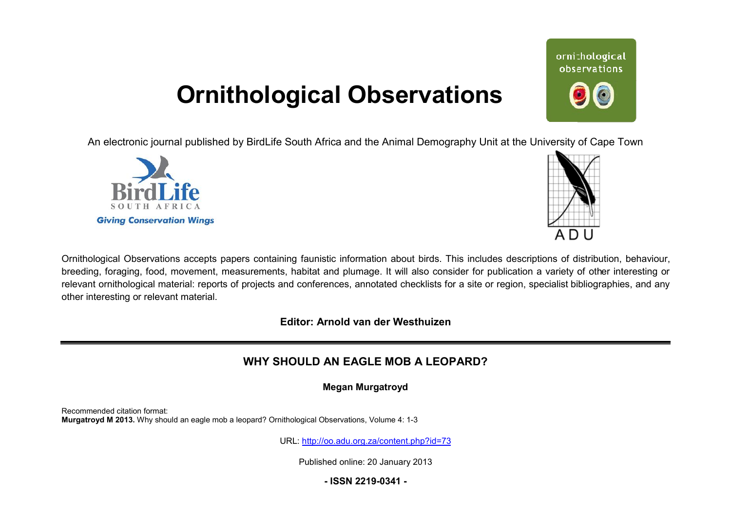## **Ornithological Observations**

An electronic journal published by BirdLife South Africa and the Animal Demography Unit at the University of Cape Town





Ornithological Observations accepts papers containing faunistic information about birds. This includes descriptions of distribution, behaviour, breeding, foraging, food, movement, measurements, habitat and plumage. It will also consider for publication a variety of other interesting or relevant ornithological material: reports of projects and conferences, annotated checklists for a site or region, specialist bibliographies, and any other interesting or relevant material.

**Editor: Arnold van der Westhuizen**

### **WHY SHOULD AN EAGLE MOB A LEOPARD?**

**Megan Murgatroyd** 

Recommended citation format: **Murgatroyd M 2013.** Why should an eagle mob a leopard? Ornithological Observations, Volume 4: 1-3

URL: <http://oo.adu.org.za/content.php?id=73>

Published online: 20 January 2013

**- ISSN 2219-0341 -** 

# ornithological observations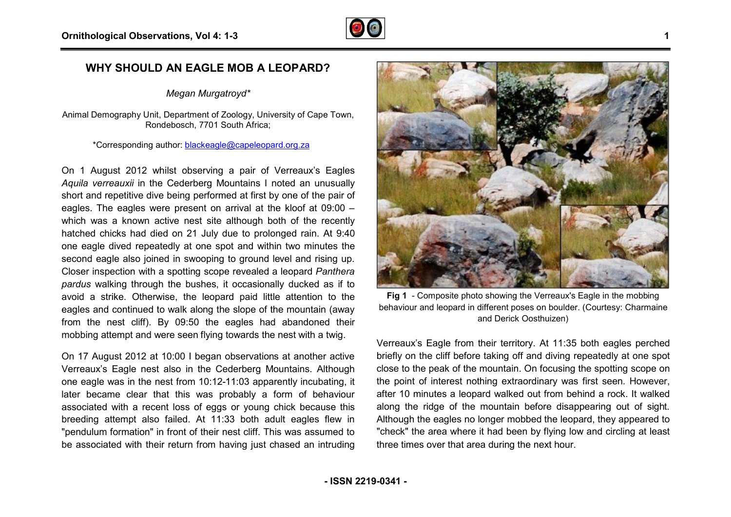

#### **WHY SHOULD AN EAGLE MOB A LEOPARD?**

*Megan Murgatroyd\**

Animal Demography Unit, Department of Zoology, University of Cape Town, Rondebosch, 7701 South Africa;

\*Corresponding author: [blackeagle@capeleopard.org.za](mailto:blackeagle@capeleopard.org.za)

On 1 August 2012 whilst observing a pair of Verreaux's Eagles *Aquila verreauxii* in the Cederberg Mountains I noted an unusually short and repetitive dive being performed at first by one of the pair of eagles. The eagles were present on arrival at the kloof at 09:00 – which was a known active nest site although both of the recently hatched chicks had died on 21 July due to prolonged rain. At 9:40 one eagle dived repeatedly at one spot and within two minutes the second eagle also joined in swooping to ground level and rising up. Closer inspection with a spotting scope revealed a leopard *Panthera pardus* walking through the bushes, it occasionally ducked as if to avoid a strike. Otherwise, the leopard paid little attention to the eagles and continued to walk along the slope of the mountain (away from the nest cliff). By 09:50 the eagles had abandoned their mobbing attempt and were seen flying towards the nest with a twig. ng the slope of the mountain (awa<br>the eagles had abandoned the<br>ilying towards the nest with a twig.

On 17 August 2012 at 10:00 I began observations at another active Verreaux's Eagle nest also in the Cederberg Mountains. Although one eagle was in the nest from 10:12-11:03 apparently incubating, it later became clear that this was probably a form of behaviour associated with a recent loss of eggs or young chick because this breeding attempt also failed. At 11:33 both adult eagles flew in "pendulum formation" in front of their nest cliff. This was assumed to be associated with their return from having just chased an intruding st 2012 at 10:00 I began observations at another active<br>Eagle nest also in the Cederberg Mountains. Although<br>as in the nest from 10:12-11:03 apparently incubating, it<br>e clear that this was probably a form of behaviour



**Fig 1** - Composite photo showing the Verreaux's Eagle in the mobbing behaviour and leopard in different poses on boulder. (Courtesy: Charmaine and Derick Oosthuizen)

Verreaux's Eagle from their territory. At 11:35 both eagles perched briefly on the cliff before taking off and diving repeatedly at one spot close to the peak of the mountain. On focusing the spotting scope on the point of interest nothing extraordinary was first seen. However, after 10 minutes a leopard walked out from behind a rock. It walked along the ridge of the mountain before disappearing out of sight. Although the eagles no longer mobbed the leopard, they appeared to "check" the area where it had been by flying low and circling at least three times over that area during the next hour.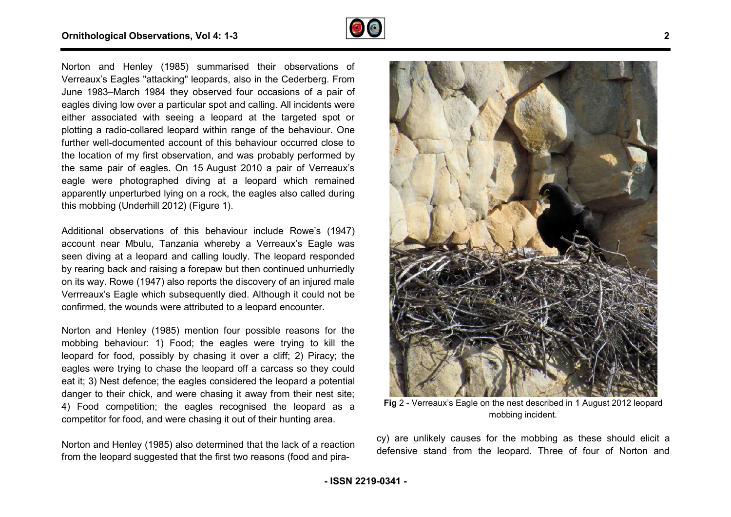

Norton and Henley (1985) summarised their observations of Verreaux's Eagles "attacking" leopards, also in the Cederberg. From June 1983–March 1984 they observed four occasions of a pair of eagles diving low over a particular spot and calling. All incidents were either associated with seeing a leopard at the targeted spot or plotting a radio-collared leopard within range of the behaviour. One further well-documented account of this behaviour occurred close to the location of my first observation, and was probably performed by the same pair of eagles. On 15 August 2010 a pair of Verreaux's eagle were photographed diving at a leopard which remained apparently unperturbed lying on a rock, the eagles also called during this mobbing (Underhill 2012) (Figure 1). March 1984 they observed four occasions of a pair of<br>g low over a particular spot and calling. All incidents were<br>ciated with seeing a leopard at the targeted spot or by the period is a radio-collared leopard within range of the behaviour. One<br>ther well-documented account of this behaviour occurred close to<br>be location of my first observation, and was probably performed by<br>exame pair of

Additional observations of this behaviour include Rowe's (1947) account near Mbulu, Tanzania whereby a Verreaux's Eagle was seen diving at a leopard and calling loudly. The leopard responded by rearing back and raising a forepaw but then continued unhurriedly on its way. Rowe (1947) also reports the discovery of an injured male Verrreaux's Eagle which subsequently died. Although it could not be confirmed, the wounds were attributed to a leopard encounter.

Norton and Henley (1985) mention four possible reasons for the mobbing behaviour: 1) Food; the eagles were trying to kill the leopard for food, possibly by chasing it over a cliff; 2) Piracy; the eagles were trying to chase the leopard off a carcass so they could eat it; 3) Nest defence; the eagles considered the leopard a potential danger to their chick, and were chasing it away from their nest site; 4) Food competition; the eagles recognised the leopard as a competitor for food, and were chasing it out of their hunting area. g it away from their nest site<br>cognised the leopard as<br>t out of their hunting area.<br>ned that the lack of a reactio<br>t two reasons (food and pira-

Norton and Henley (1985) also determined that the lack of a reaction from the leopard suggested that the first two reasons (food and



**Fig** 2 - Verreaux's Eagle on the nest described in 1 August 2012 leopard mobbing incident.

cy) are unlikely causes for the mobbing as these should elicit a defensive stand from the leopard. Three of four of Nor Norton and